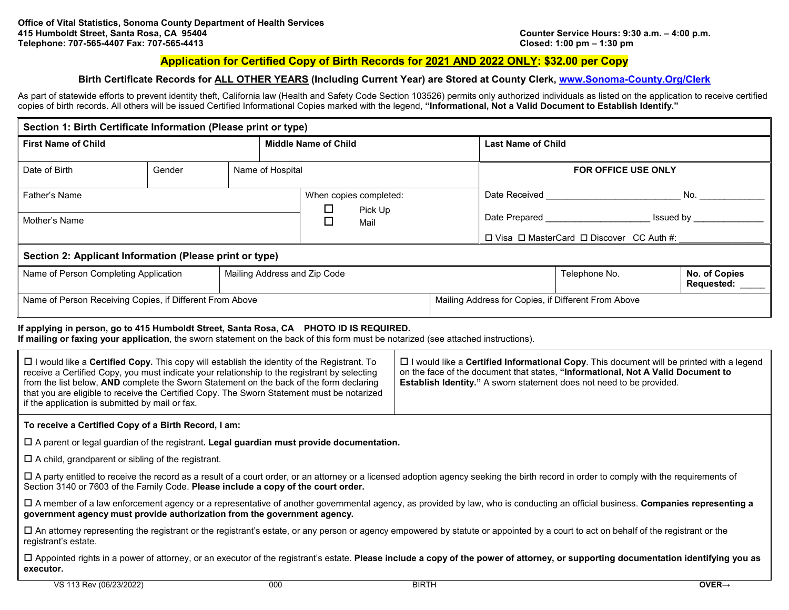### **Application for Certified Copy of Birth Records for 2021 AND 2022 ONLY: \$32.00 per Copy**

### **Birth Certificate Records for ALL OTHER YEARS (Including Current Year) are Stored at County Clerk, [www.Sonoma-County.Org/Clerk](http://www.sonoma-county.org/Clerk)**

As part of statewide efforts to prevent identity theft, California law (Health and Safety Code Section 103526) permits only authorized individuals as listed on the application to receive certified copies of birth records. All others will be issued Certified Informational Copies marked with the legend, **"Informational, Not a Valid Document to Establish Identify."** 

| Section 1: Birth Certificate Information (Please print or type)                                                                                                                                                                                                                                                                                                                                                                                                                                                                                                                                                                                                          |        |                  |                                |  |                                                                                                                                                                                                                                                             |                                                     |                                                                    |                                    |  |
|--------------------------------------------------------------------------------------------------------------------------------------------------------------------------------------------------------------------------------------------------------------------------------------------------------------------------------------------------------------------------------------------------------------------------------------------------------------------------------------------------------------------------------------------------------------------------------------------------------------------------------------------------------------------------|--------|------------------|--------------------------------|--|-------------------------------------------------------------------------------------------------------------------------------------------------------------------------------------------------------------------------------------------------------------|-----------------------------------------------------|--------------------------------------------------------------------|------------------------------------|--|
| <b>First Name of Child</b>                                                                                                                                                                                                                                                                                                                                                                                                                                                                                                                                                                                                                                               |        |                  | <b>Middle Name of Child</b>    |  | <b>Last Name of Child</b>                                                                                                                                                                                                                                   |                                                     |                                                                    |                                    |  |
| Date of Birth                                                                                                                                                                                                                                                                                                                                                                                                                                                                                                                                                                                                                                                            | Gender | Name of Hospital |                                |  |                                                                                                                                                                                                                                                             |                                                     | FOR OFFICE USE ONLY                                                |                                    |  |
| Father's Name                                                                                                                                                                                                                                                                                                                                                                                                                                                                                                                                                                                                                                                            |        |                  | When copies completed:         |  |                                                                                                                                                                                                                                                             |                                                     | No. $\overline{\phantom{a}}$                                       |                                    |  |
| Mother's Name                                                                                                                                                                                                                                                                                                                                                                                                                                                                                                                                                                                                                                                            |        |                  | □<br>Pick Up<br>$\Box$<br>Mail |  |                                                                                                                                                                                                                                                             |                                                     | Date Prepared __________________________ Issued by _______________ |                                    |  |
|                                                                                                                                                                                                                                                                                                                                                                                                                                                                                                                                                                                                                                                                          |        |                  |                                |  | $\Box$ Visa $\Box$ MasterCard $\Box$ Discover CC Auth #:                                                                                                                                                                                                    |                                                     |                                                                    |                                    |  |
| Section 2: Applicant Information (Please print or type)                                                                                                                                                                                                                                                                                                                                                                                                                                                                                                                                                                                                                  |        |                  |                                |  |                                                                                                                                                                                                                                                             |                                                     |                                                                    |                                    |  |
| Name of Person Completing Application                                                                                                                                                                                                                                                                                                                                                                                                                                                                                                                                                                                                                                    |        |                  | Mailing Address and Zip Code   |  |                                                                                                                                                                                                                                                             |                                                     | Telephone No.                                                      | No. of Copies<br><b>Requested:</b> |  |
| Name of Person Receiving Copies, if Different From Above                                                                                                                                                                                                                                                                                                                                                                                                                                                                                                                                                                                                                 |        |                  |                                |  |                                                                                                                                                                                                                                                             | Mailing Address for Copies, if Different From Above |                                                                    |                                    |  |
| If applying in person, go to 415 Humboldt Street, Santa Rosa, CA PHOTO ID IS REQUIRED.<br>If mailing or faxing your application, the sworn statement on the back of this form must be notarized (see attached instructions).<br>□ I would like a Certified Copy. This copy will establish the identity of the Registrant. To<br>receive a Certified Copy, you must indicate your relationship to the registrant by selecting<br>from the list below, AND complete the Sworn Statement on the back of the form declaring<br>that you are eligible to receive the Certified Copy. The Sworn Statement must be notarized<br>if the application is submitted by mail or fax. |        |                  |                                |  | $\Box$ I would like a Certified Informational Copy. This document will be printed with a legend<br>on the face of the document that states, "Informational, Not A Valid Document to<br>Establish Identity." A sworn statement does not need to be provided. |                                                     |                                                                    |                                    |  |
| To receive a Certified Copy of a Birth Record, I am:                                                                                                                                                                                                                                                                                                                                                                                                                                                                                                                                                                                                                     |        |                  |                                |  |                                                                                                                                                                                                                                                             |                                                     |                                                                    |                                    |  |
| $\square$ A parent or legal guardian of the registrant. Legal guardian must provide documentation.                                                                                                                                                                                                                                                                                                                                                                                                                                                                                                                                                                       |        |                  |                                |  |                                                                                                                                                                                                                                                             |                                                     |                                                                    |                                    |  |
| $\Box$ A child, grandparent or sibling of the registrant.                                                                                                                                                                                                                                                                                                                                                                                                                                                                                                                                                                                                                |        |                  |                                |  |                                                                                                                                                                                                                                                             |                                                     |                                                                    |                                    |  |
| □ A party entitled to receive the record as a result of a court order, or an attorney or a licensed adoption agency seeking the birth record in order to comply with the requirements of<br>Section 3140 or 7603 of the Family Code. Please include a copy of the court order.                                                                                                                                                                                                                                                                                                                                                                                           |        |                  |                                |  |                                                                                                                                                                                                                                                             |                                                     |                                                                    |                                    |  |
| □ A member of a law enforcement agency or a representative of another governmental agency, as provided by law, who is conducting an official business. Companies representing a<br>government agency must provide authorization from the government agency.                                                                                                                                                                                                                                                                                                                                                                                                              |        |                  |                                |  |                                                                                                                                                                                                                                                             |                                                     |                                                                    |                                    |  |
| □ An attorney representing the registrant or the registrant's estate, or any person or agency empowered by statute or appointed by a court to act on behalf of the registrant or the<br>registrant's estate.                                                                                                                                                                                                                                                                                                                                                                                                                                                             |        |                  |                                |  |                                                                                                                                                                                                                                                             |                                                     |                                                                    |                                    |  |
| □ Appointed rights in a power of attorney, or an executor of the registrant's estate. Please include a copy of the power of attorney, or supporting documentation identifying you as<br>executor.                                                                                                                                                                                                                                                                                                                                                                                                                                                                        |        |                  |                                |  |                                                                                                                                                                                                                                                             |                                                     |                                                                    |                                    |  |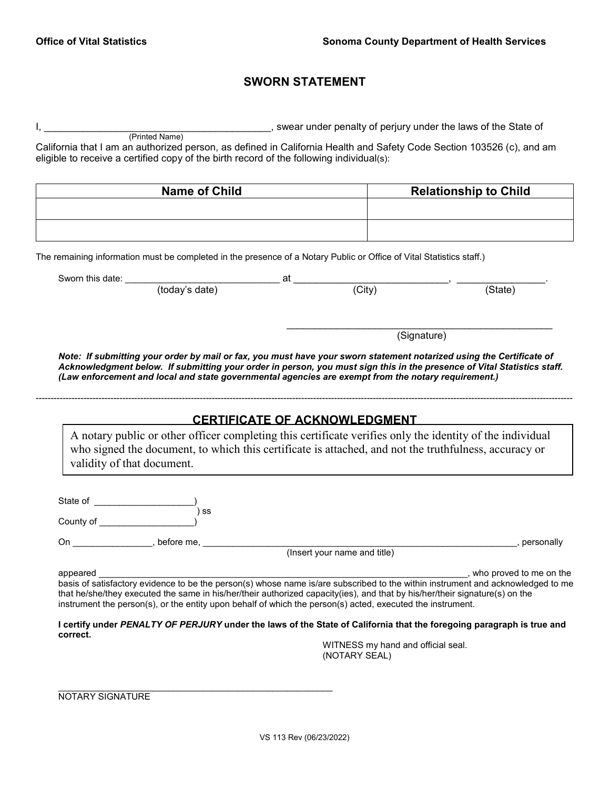# **SWORN STATEMENT**

|               | (Printed Name)                                                                                                       |                                      |                              | swear under penalty of perjury under the laws of the State of                                                                                                                                                                                                                               |
|---------------|----------------------------------------------------------------------------------------------------------------------|--------------------------------------|------------------------------|---------------------------------------------------------------------------------------------------------------------------------------------------------------------------------------------------------------------------------------------------------------------------------------------|
|               | eligible to receive a certified copy of the birth record of the following individual(s):                             |                                      |                              | California that I am an authorized person, as defined in California Health and Safety Code Section 103526 (c), and am                                                                                                                                                                       |
|               |                                                                                                                      |                                      |                              |                                                                                                                                                                                                                                                                                             |
|               | <b>Name of Child</b>                                                                                                 |                                      |                              | <b>Relationship to Child</b>                                                                                                                                                                                                                                                                |
|               |                                                                                                                      |                                      |                              |                                                                                                                                                                                                                                                                                             |
|               | The remaining information must be completed in the presence of a Notary Public or Office of Vital Statistics staff.) |                                      |                              |                                                                                                                                                                                                                                                                                             |
|               |                                                                                                                      |                                      | $\overline{(City)}$          |                                                                                                                                                                                                                                                                                             |
|               |                                                                                                                      |                                      |                              | (State)                                                                                                                                                                                                                                                                                     |
|               |                                                                                                                      |                                      |                              | (Signature)                                                                                                                                                                                                                                                                                 |
|               |                                                                                                                      |                                      |                              | Note: If submitting your order by mail or fax, you must have your sworn statement notarized using the Certificate of                                                                                                                                                                        |
|               | validity of that document.                                                                                           | <b>CERTIFICATE OF ACKNOWLEDGMENT</b> |                              | A notary public or other officer completing this certificate verifies only the identity of the individual<br>who signed the document, to which this certificate is attached, and not the truthfulness, accuracy or                                                                          |
|               |                                                                                                                      |                                      |                              |                                                                                                                                                                                                                                                                                             |
|               | $\overline{)}$ ss                                                                                                    |                                      |                              |                                                                                                                                                                                                                                                                                             |
|               |                                                                                                                      |                                      |                              |                                                                                                                                                                                                                                                                                             |
| On before me, |                                                                                                                      |                                      | (Insert your name and title) | , personally                                                                                                                                                                                                                                                                                |
|               |                                                                                                                      |                                      |                              |                                                                                                                                                                                                                                                                                             |
| appeared      | instrument the person(s), or the entity upon behalf of which the person(s) acted, executed the instrument.           |                                      |                              | , who proved to me on the<br>basis of satisfactory evidence to be the person(s) whose name is/are subscribed to the within instrument and acknowledged to me<br>that he/she/they executed the same in his/her/their authorized capacity(ies), and that by his/her/their signature(s) on the |
| correct.      |                                                                                                                      |                                      |                              | I certify under PENALTY OF PERJURY under the laws of the State of California that the foregoing paragraph is true and                                                                                                                                                                       |

NOTARY SIGNATURE